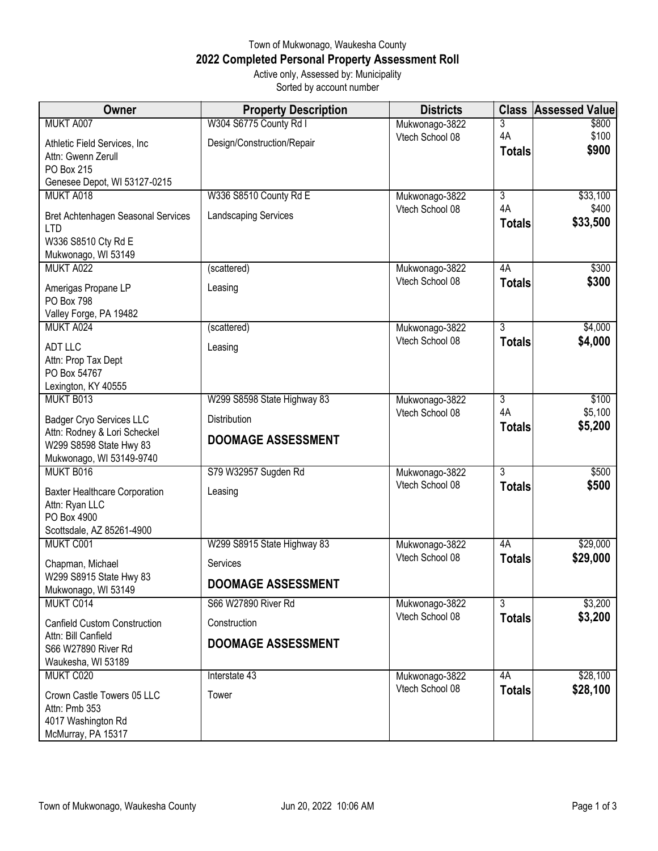## Town of Mukwonago, Waukesha County **2022 Completed Personal Property Assessment Roll** Active only, Assessed by: Municipality Sorted by account number

| Owner                                                                                                                  | <b>Property Description</b>                      | <b>Districts</b> |                     | <b>Class Assessed Value</b> |
|------------------------------------------------------------------------------------------------------------------------|--------------------------------------------------|------------------|---------------------|-----------------------------|
| MUKT A007                                                                                                              | W304 S6775 County Rd I                           | Mukwonago-3822   | 3                   | \$800                       |
| Athletic Field Services, Inc.<br>Attn: Gwenn Zerull<br>PO Box 215                                                      | Design/Construction/Repair                       | Vtech School 08  | 4A<br><b>Totals</b> | \$100<br>\$900              |
| Genesee Depot, WI 53127-0215<br>MUKT A018                                                                              | W336 S8510 County Rd E                           | Mukwonago-3822   | $\overline{3}$      | \$33,100                    |
| Bret Achtenhagen Seasonal Services<br><b>LTD</b><br>W336 S8510 Cty Rd E<br>Mukwonago, WI 53149                         | <b>Landscaping Services</b>                      | Vtech School 08  | 4A<br><b>Totals</b> | \$400<br>\$33,500           |
| MUKT A022                                                                                                              | (scattered)                                      | Mukwonago-3822   | 4A                  | \$300                       |
| Amerigas Propane LP<br>PO Box 798<br>Valley Forge, PA 19482                                                            | Leasing                                          | Vtech School 08  | <b>Totals</b>       | \$300                       |
| MUKT A024                                                                                                              | (scattered)                                      | Mukwonago-3822   | $\overline{3}$      | \$4,000                     |
| <b>ADT LLC</b><br>Attn: Prop Tax Dept<br>PO Box 54767<br>Lexington, KY 40555                                           | Leasing                                          | Vtech School 08  | <b>Totals</b>       | \$4,000                     |
| MUKT B013                                                                                                              | W299 S8598 State Highway 83                      | Mukwonago-3822   | 3                   | \$100                       |
| <b>Badger Cryo Services LLC</b><br>Attn: Rodney & Lori Scheckel<br>W299 S8598 State Hwy 83<br>Mukwonago, WI 53149-9740 | <b>Distribution</b><br><b>DOOMAGE ASSESSMENT</b> | Vtech School 08  | 4A<br><b>Totals</b> | \$5,100<br>\$5,200          |
| MUKT B016                                                                                                              | S79 W32957 Sugden Rd                             | Mukwonago-3822   | 3                   | \$500                       |
| <b>Baxter Healthcare Corporation</b><br>Attn: Ryan LLC<br>PO Box 4900<br>Scottsdale, AZ 85261-4900                     | Leasing                                          | Vtech School 08  | <b>Totals</b>       | \$500                       |
| MUKT C001                                                                                                              | W299 S8915 State Highway 83                      | Mukwonago-3822   | 4A                  | \$29,000                    |
| Chapman, Michael                                                                                                       | Services                                         | Vtech School 08  | <b>Totals</b>       | \$29,000                    |
| W299 S8915 State Hwy 83<br>Mukwonago, WI 53149                                                                         | <b>DOOMAGE ASSESSMENT</b>                        |                  |                     |                             |
| MUKT C014                                                                                                              | S66 W27890 River Rd                              | Mukwonago-3822   | $\overline{3}$      | \$3,200                     |
| <b>Canfield Custom Construction</b><br>Attn: Bill Canfield                                                             | Construction                                     | Vtech School 08  | <b>Totals</b>       | \$3,200                     |
| S66 W27890 River Rd<br>Waukesha, WI 53189                                                                              | <b>DOOMAGE ASSESSMENT</b>                        |                  |                     |                             |
| MUKT C020                                                                                                              | Interstate 43                                    | Mukwonago-3822   | 4A                  | \$28,100                    |
| Crown Castle Towers 05 LLC<br>Attn: Pmb 353<br>4017 Washington Rd<br>McMurray, PA 15317                                | Tower                                            | Vtech School 08  | <b>Totals</b>       | \$28,100                    |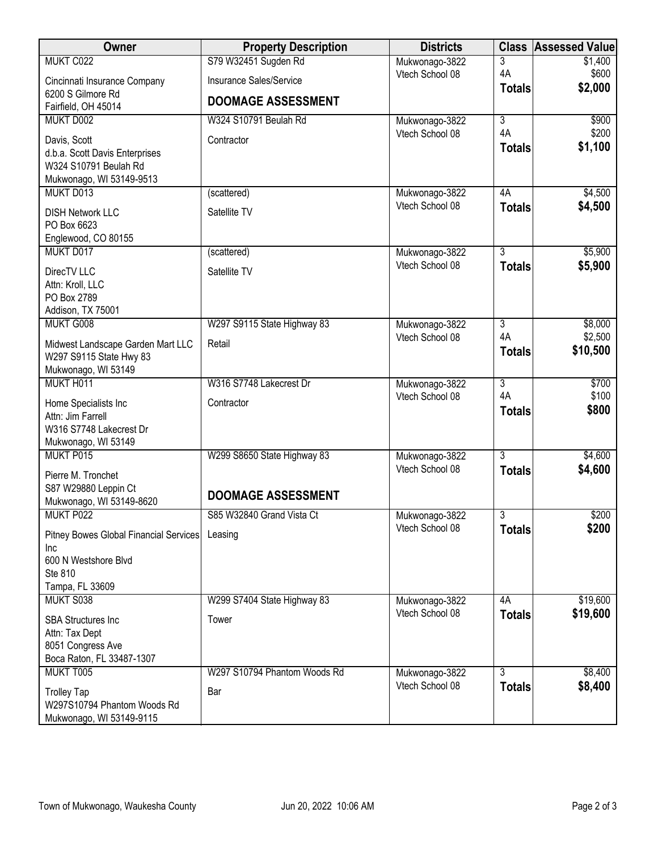| Owner                                                   | <b>Property Description</b>  | <b>Districts</b>                  | <b>Class</b>   | <b>Assessed Value</b> |
|---------------------------------------------------------|------------------------------|-----------------------------------|----------------|-----------------------|
| MUKT C022                                               | S79 W32451 Sugden Rd         | Mukwonago-3822                    | 3              | \$1,400               |
| Cincinnati Insurance Company                            | Insurance Sales/Service      | Vtech School 08                   | 4A             | \$600<br>\$2,000      |
| 6200 S Gilmore Rd                                       | <b>DOOMAGE ASSESSMENT</b>    |                                   | <b>Totals</b>  |                       |
| Fairfield, OH 45014<br>MUKT D002                        | W324 S10791 Beulah Rd        |                                   | $\overline{3}$ |                       |
|                                                         |                              | Mukwonago-3822<br>Vtech School 08 | 4A             | \$900<br>\$200        |
| Davis, Scott                                            | Contractor                   |                                   | <b>Totals</b>  | \$1,100               |
| d.b.a. Scott Davis Enterprises<br>W324 S10791 Beulah Rd |                              |                                   |                |                       |
| Mukwonago, WI 53149-9513                                |                              |                                   |                |                       |
| MUKT D013                                               | (scattered)                  | Mukwonago-3822                    | 4A             | \$4,500               |
| <b>DISH Network LLC</b>                                 | Satellite TV                 | Vtech School 08                   | <b>Totals</b>  | \$4,500               |
| PO Box 6623                                             |                              |                                   |                |                       |
| Englewood, CO 80155                                     |                              |                                   |                |                       |
| MUKT D017                                               | (scattered)                  | Mukwonago-3822                    | 3              | \$5,900               |
| DirecTV LLC                                             | Satellite TV                 | Vtech School 08                   | <b>Totals</b>  | \$5,900               |
| Attn: Kroll, LLC                                        |                              |                                   |                |                       |
| PO Box 2789<br>Addison, TX 75001                        |                              |                                   |                |                       |
| MUKT G008                                               | W297 S9115 State Highway 83  | Mukwonago-3822                    | $\overline{3}$ | \$8,000               |
| Midwest Landscape Garden Mart LLC                       | Retail                       | Vtech School 08                   | 4A             | \$2,500               |
| W297 S9115 State Hwy 83                                 |                              |                                   | <b>Totals</b>  | \$10,500              |
| Mukwonago, WI 53149                                     |                              |                                   |                |                       |
| MUKT H011                                               | W316 S7748 Lakecrest Dr      | Mukwonago-3822                    | $\overline{3}$ | \$700                 |
| Home Specialists Inc                                    | Contractor                   | Vtech School 08                   | 4A             | \$100<br>\$800        |
| Attn: Jim Farrell                                       |                              |                                   | <b>Totals</b>  |                       |
| W316 S7748 Lakecrest Dr                                 |                              |                                   |                |                       |
| Mukwonago, WI 53149<br>MUKT P015                        | W299 S8650 State Highway 83  | Mukwonago-3822                    | $\overline{3}$ | \$4,600               |
|                                                         |                              | Vtech School 08                   | <b>Totals</b>  | \$4,600               |
| Pierre M. Tronchet<br>S87 W29880 Leppin Ct              |                              |                                   |                |                       |
| Mukwonago, WI 53149-8620                                | <b>DOOMAGE ASSESSMENT</b>    |                                   |                |                       |
| MUKT P022                                               | S85 W32840 Grand Vista Ct    | Mukwonago-3822                    | $\overline{3}$ | \$200                 |
| Pitney Bowes Global Financial Services                  | Leasing                      | Vtech School 08                   | <b>Totals</b>  | \$200                 |
| Inc                                                     |                              |                                   |                |                       |
| 600 N Westshore Blvd                                    |                              |                                   |                |                       |
| Ste 810<br>Tampa, FL 33609                              |                              |                                   |                |                       |
| MUKT S038                                               | W299 S7404 State Highway 83  | Mukwonago-3822                    | 4A             | \$19,600              |
| <b>SBA Structures Inc</b>                               | Tower                        | Vtech School 08                   | <b>Totals</b>  | \$19,600              |
| Attn: Tax Dept                                          |                              |                                   |                |                       |
| 8051 Congress Ave                                       |                              |                                   |                |                       |
| Boca Raton, FL 33487-1307                               |                              |                                   |                |                       |
| MUKT T005                                               | W297 S10794 Phantom Woods Rd | Mukwonago-3822                    | 3              | \$8,400               |
| <b>Trolley Tap</b>                                      | Bar                          | Vtech School 08                   | <b>Totals</b>  | \$8,400               |
| W297S10794 Phantom Woods Rd                             |                              |                                   |                |                       |
| Mukwonago, WI 53149-9115                                |                              |                                   |                |                       |